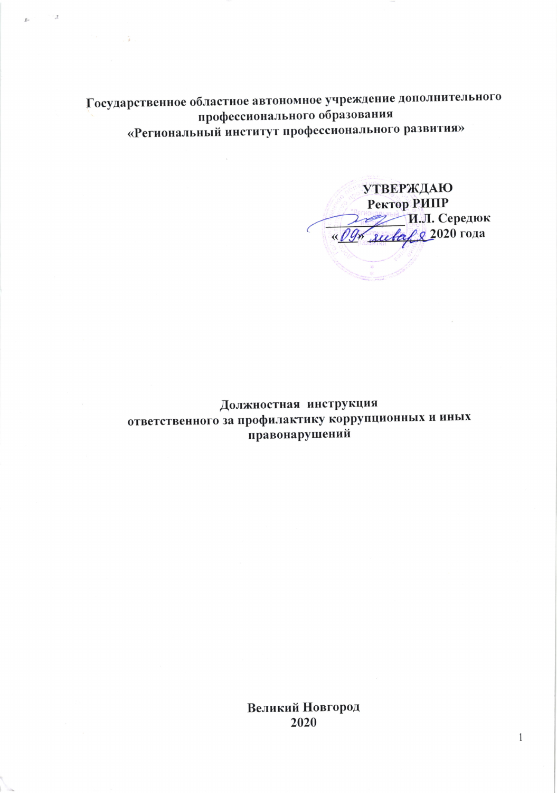Государственное областное автономное учреждение дополнительного профессионального образования «Региональный институт профессионального развития»

 $\mathcal{I} \subset \mathcal{I}$ 

**УТВЕРЖДАЮ** Ректор РИПР И.Л. Середюк « Оду ливар 2020 года

Должностная инструкция ответственного за профилактику коррупционных и иных правонарушений

> Великий Новгород 2020